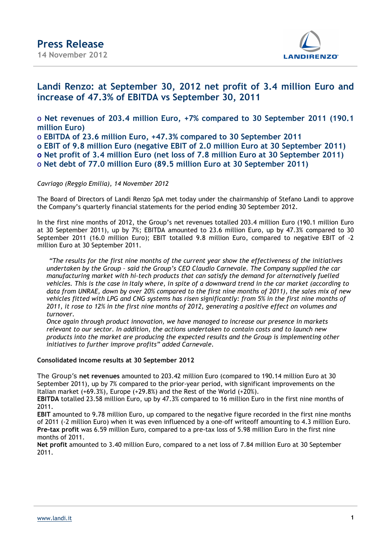

### **Landi Renzo: at September 30, 2012 net profit of 3.4 million Euro and increase of 47.3% of EBITDA vs September 30, 2011**

o **Net revenues of 203.4 million Euro, +7% compared to 30 September 2011 (190.1 million Euro)**

o **EBITDA of 23.6 million Euro, +47.3% compared to 30 September 2011**

**o EBIT of 9.8 million Euro (negative EBIT of 2.0 million Euro at 30 September 2011)**

**o Net profit of 3.4 million Euro (net loss of 7.8 million Euro at 30 September 2011)** 

o **Net debt of 77.0 million Euro (89.5 million Euro at 30 September 2011)** 

### *Cavriago (Reggio Emilia), 14 November 2012*

The Board of Directors of Landi Renzo SpA met today under the chairmanship of Stefano Landi to approve the Company's quarterly financial statements for the period ending 30 September 2012.

In the first nine months of 2012, the Group's net revenues totalled 203.4 million Euro (190.1 million Euro at 30 September 2011), up by 7%; EBITDA amounted to 23.6 million Euro, up by 47.3% compared to 30 September 2011 (16.0 million Euro); EBIT totalled 9.8 million Euro, compared to negative EBIT of -2 million Euro at 30 September 2011.

*"The results for the first nine months of the current year show the effectiveness of the initiatives undertaken by the Group – said the Group's CEO Claudio Carnevale. The Company supplied the car manufacturing market with hi-tech products that can satisfy the demand for alternatively fuelled vehicles. This is the case in Italy where, in spite of a downward trend in the car market (according to data from UNRAE, down by over 20% compared to the first nine months of 2011), the sales mix of new vehicles fitted with LPG and CNG systems has risen significantly: from 5% in the first nine months of 2011, it rose to 12% in the first nine months of 2012, generating a positive effect on volumes and turnover.* 

*Once again through product innovation, we have managed to increase our presence in markets relevant to our sector. In addition, the actions undertaken to contain costs and to launch new products into the market are producing the expected results and the Group is implementing other initiatives to further improve profits" added Carnevale.* 

### **Consolidated income results at 30 September 2012**

The Group's **net revenues** amounted to 203.42 million Euro (compared to 190.14 million Euro at 30 September 2011), up by 7% compared to the prior-year period, with significant improvements on the Italian market (+69.3%), Europe (+29.8%) and the Rest of the World (+20%).

**EBITDA** totalled 23.58 million Euro, up by 47.3% compared to 16 million Euro in the first nine months of 2011.

**EBIT** amounted to 9.78 million Euro, up compared to the negative figure recorded in the first nine months of 2011 (-2 million Euro) when it was even influenced by a one-off writeoff amounting to 4.3 million Euro. **Pre-tax profit** was 6.59 million Euro, compared to a pre-tax loss of 5.98 million Euro in the first nine months of 2011.

**Net profit** amounted to 3.40 million Euro, compared to a net loss of 7.84 million Euro at 30 September 2011.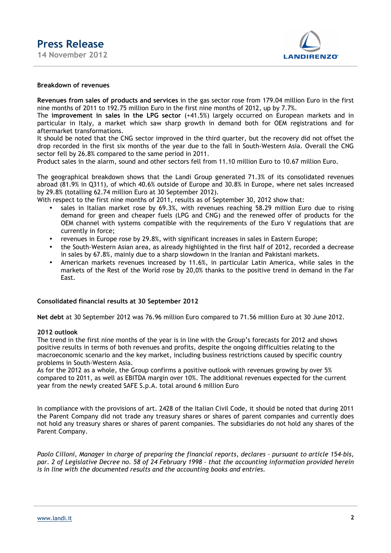

#### **Breakdown of revenues**

**Revenues from sales of products and services** in the gas sector rose from 179.04 million Euro in the first nine months of 2011 to 192.75 million Euro in the first nine months of 2012, up by 7.7%.

The **improvement in sales in the LPG sector** (+41.5%) largely occurred on European markets and in particular in Italy, a market which saw sharp growth in demand both for OEM registrations and for aftermarket transformations.

It should be noted that the CNG sector improved in the third quarter, but the recovery did not offset the drop recorded in the first six months of the year due to the fall in South-Western Asia. Overall the CNG sector fell by 26.8% compared to the same period in 2011.

Product sales in the alarm, sound and other sectors fell from 11.10 million Euro to 10.67 million Euro.

The geographical breakdown shows that the Landi Group generated 71.3% of its consolidated revenues abroad (81.9% in Q311), of which 40.6% outside of Europe and 30.8% in Europe, where net sales increased by 29.8% (totalling 62.74 million Euro at 30 September 2012).

With respect to the first nine months of 2011, results as of September 30, 2012 show that:

- sales in Italian market rose by 69.3%, with revenues reaching 58.29 million Euro due to rising demand for green and cheaper fuels (LPG and CNG) and the renewed offer of products for the OEM channel with systems compatible with the requirements of the Euro V regulations that are currently in force;
- revenues in Europe rose by 29.8%, with significant increases in sales in Eastern Europe;
- the South-Western Asian area, as already highlighted in the first half of 2012, recorded a decrease in sales by 67.8%, mainly due to a sharp slowdown in the Iranian and Pakistani markets.
- American markets revenues increased by 11.6%, in particular Latin America, while sales in the markets of the Rest of the World rose by 20,0% thanks to the positive trend in demand in the Far East.

#### **Consolidated financial results at 30 September 2012**

**Net debt** at 30 September 2012 was 76.96 million Euro compared to 71.56 million Euro at 30 June 2012.

#### **2012 outlook**

The trend in the first nine months of the year is in line with the Group's forecasts for 2012 and shows positive results in terms of both revenues and profits, despite the ongoing difficulties relating to the macroeconomic scenario and the key market, including business restrictions caused by specific country problems in South-Western Asia.

As for the 2012 as a whole, the Group confirms a positive outlook with revenues growing by over 5% compared to 2011, as well as EBITDA margin over 10%. The additional revenues expected for the current year from the newly created SAFE S.p.A. total around 6 million Euro

In compliance with the provisions of art. 2428 of the Italian Civil Code, it should be noted that during 2011 the Parent Company did not trade any treasury shares or shares of parent companies and currently does not hold any treasury shares or shares of parent companies. The subsidiaries do not hold any shares of the Parent Company.

*Paolo Cilloni, Manager in charge of preparing the financial reports, declares – pursuant to article 154–bis, par. 2 of Legislative Decree no. 58 of 24 February 1998 – that the accounting information provided herein is in line with the documented results and the accounting books and entries.*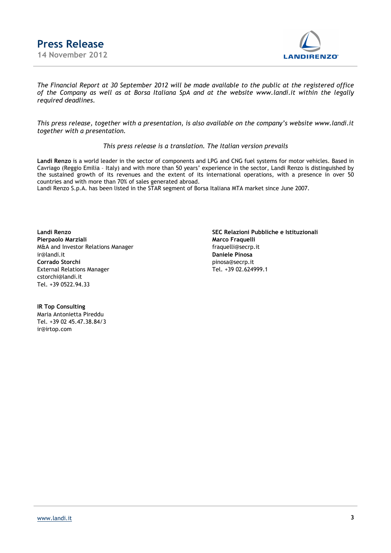



*The Financial Report at 30 September 2012 will be made available to the public at the registered office of the Company as well as at Borsa Italiana SpA and at the website www.landi.it within the legally required deadlines.* 

*This press release, together with a presentation, is also available on the company's website www.landi.it together with a presentation.* 

#### *This press release is a translation. The Italian version prevails*

**Landi Renzo** is a world leader in the sector of components and LPG and CNG fuel systems for motor vehicles. Based in Cavriago (Reggio Emilia – Italy) and with more than 50 years' experience in the sector, Landi Renzo is distinguished by the sustained growth of its revenues and the extent of its international operations, with a presence in over 50 countries and with more than 70% of sales generated abroad.

Landi Renzo S.p.A. has been listed in the STAR segment of Borsa Italiana MTA market since June 2007.

**Pierpaolo Marziali Marco Fraquelli** M&A and Investor Relations Manager **fraguelli@secrp.it** ir@landi.it **Daniele Pinosa Corrado Storchi**<br>
External Relations Manager<br>
Pinosa@secrp.it<br>
Tel. +39 02.624999.1 External Relations Manager cstorchi@landi.it Tel. +39 0522.94.33

**Landi Renzo SEC Relazioni Pubbliche e Istituzionali**

**IR Top Consulting** Maria Antonietta Pireddu Tel. +39 02 45.47.38.84/3 ir@irtop.com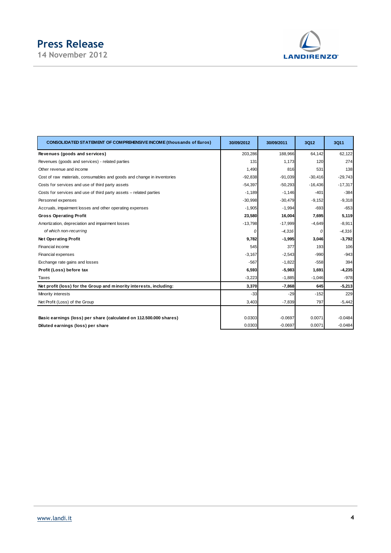# **Press Release**

**14 November 2012** 



| <b>CONSOLIDATED STATEMENT OF COMPREHENSIVE INCOME (thousands of Euros)</b> | 30/09/2012 | 30/09/2011 | 3Q12      | 3Q11      |
|----------------------------------------------------------------------------|------------|------------|-----------|-----------|
| Revenues (goods and services)                                              | 203,286    | 188,966    | 64,142    | 62,122    |
| Revenues (goods and services) - related parties                            | 131        | 1,173      | 120       | 274       |
| Other revenue and income                                                   | 1,490      | 816        | 531       | 138       |
| Cost of raw materials, consumables and goods and change in inventories     | $-92,838$  | $-91,039$  | $-30,416$ | $-29,743$ |
| Costs for services and use of third party assets                           | $-54,397$  | $-50,293$  | $-16,436$ | $-17,317$ |
| Costs for services and use of third party assets – related parties         | $-1,189$   | $-1,146$   | $-401$    | $-384$    |
| Personnel expenses                                                         | $-30,998$  | $-30,479$  | $-9,152$  | $-9,318$  |
| Accruals, impairment losses and other operating expenses                   | $-1,905$   | $-1,994$   | $-693$    | $-653$    |
| <b>Gross Operating Profit</b>                                              | 23,580     | 16,004     | 7,695     | 5,119     |
| Amortization, depreciation and impairment losses                           | $-13,798$  | $-17,999$  | $-4,649$  | $-8,911$  |
| of which non-recurring                                                     | 0          | $-4,316$   | 0         | $-4,316$  |
| <b>Net Operating Profit</b>                                                | 9,782      | $-1,995$   | 3,046     | $-3,792$  |
| Financial income                                                           | 545        | 377        | 193       | 106       |
| Financial expenses                                                         | $-3,167$   | $-2,543$   | $-990$    | $-943$    |
| Exchange rate gains and losses                                             | $-567$     | $-1,822$   | $-558$    | 394       |
| Profit (Loss) before tax                                                   | 6,593      | $-5,983$   | 1,691     | $-4,235$  |
| Taxes                                                                      | $-3,223$   | $-1,885$   | $-1,046$  | $-978$    |
| Net profit (loss) for the Group and minority interests, including:         | 3,370      | $-7,868$   | 645       | $-5,213$  |
| Minority interests                                                         | $-33$      | $-29$      | $-152$    | 229       |
| Net Profit (Loss) of the Group                                             | 3,403      | $-7,839$   | 797       | $-5,442$  |
|                                                                            |            |            |           |           |
| Basic earnings (loss) per share (calculated on 112.500.000 shares)         | 0.0303     | $-0.0697$  | 0.0071    | $-0.0484$ |
| Diluted earnings (loss) per share                                          | 0.0303     | $-0.0697$  | 0.0071    | $-0.0484$ |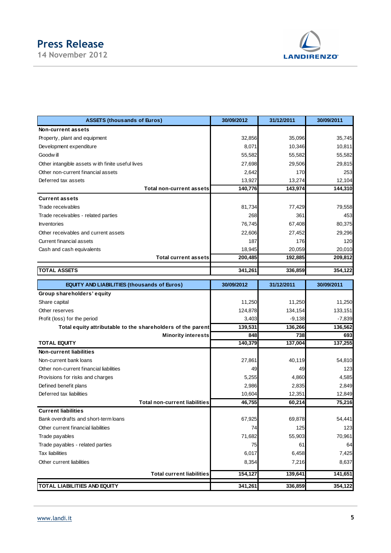# **Press Release**

**14 November 2012** 



| <b>ASSETS (thousands of Euros)</b>                                 | 30/09/2012 | 31/12/2011 | 30/09/2011 |
|--------------------------------------------------------------------|------------|------------|------------|
| Non-current assets                                                 |            |            |            |
| Property, plant and equipment                                      | 32,856     | 35,096     | 35,745     |
| Development expenditure                                            | 8,071      | 10,346     | 10,811     |
| Goodw ill                                                          | 55,582     | 55,582     | 55,582     |
| Other intangible assets with finite useful lives                   | 27,698     | 29,506     | 29,815     |
| Other non-current financial assets                                 | 2,642      | 170        | 253        |
| Deferred tax assets                                                | 13,927     | 13,274     | 12,104     |
| <b>Total non-current assets</b>                                    | 140,776    | 143,974    | 144,310    |
| <b>Current assets</b>                                              |            |            |            |
| Trade receivables                                                  | 81,734     | 77,429     | 79,558     |
| Trade receivables - related parties                                | 268        | 361        | 453        |
| Inventories                                                        | 76,745     | 67,408     | 80,375     |
| Other receivables and current assets                               | 22,606     | 27,452     | 29,296     |
| <b>Current financial assets</b>                                    | 187        | 176        | 120        |
| Cash and cash equivalents                                          | 18,945     | 20,059     | 20,010     |
| <b>Total current assets</b>                                        | 200,485    | 192,885    | 209,812    |
| <b>TOTAL ASSETS</b>                                                | 341,261    | 336,859    | 354,122    |
|                                                                    |            |            |            |
| <b>EQUITY AND LIABILITIES (thousands of Euros)</b>                 | 30/09/2012 | 31/12/2011 | 30/09/2011 |
| Group shareholders' equity                                         |            |            |            |
| Share capital                                                      | 11,250     | 11,250     | 11,250     |
| Other reserves                                                     | 124,878    | 134,154    | 133,151    |
| Profit (loss) for the period                                       | 3,403      | $-9,138$   | $-7,839$   |
| Total equity attributable to the shareholders of the parent        | 139,531    | 136,266    | 136,562    |
| <b>Minority interests</b>                                          | 848        | 738        | 693        |
| <b>TOTAL EQUITY</b>                                                | 140,379    | 137,004    | 137,255    |
| <b>Non-current liabilities</b>                                     |            |            |            |
| Non-current bank loans                                             | 27,861     | 40,119     | 54,810     |
| Other non-current financial liabilities                            | 49         | 49         | 123        |
| Provisions for risks and charges                                   | 5,255      | 4,860      | 4,585      |
| Defined benefit plans                                              | 2,986      | 2,835      | 2,849      |
| Deferred tax liabilities                                           | 10,604     | 12,351     | 12,849     |
| <b>Total non-current liabilities</b><br><b>Current liabilities</b> | 46,755     | 60,214     | 75,216     |
| Bank overdrafts and short-term loans                               | 67,925     | 69,878     | 54,441     |
| Other current financial liabilities                                | 74         | 125        | 123        |
|                                                                    |            |            |            |
| Trade payables                                                     | 71,682     | 55,903     | 70,961     |
| Trade payables - related parties<br><b>Tax liabilities</b>         | 75         | 61         | 64         |
|                                                                    | 6,017      | 6,458      | 7,425      |
| Other current liabilities                                          | 8,354      | 7,216      | 8,637      |
| <b>Total current liabilities</b>                                   | 154,127    | 139,641    | 141,651    |
| <b>TOTAL LIABILITIES AND EQUITY</b>                                | 341,261    | 336,859    | 354,122    |